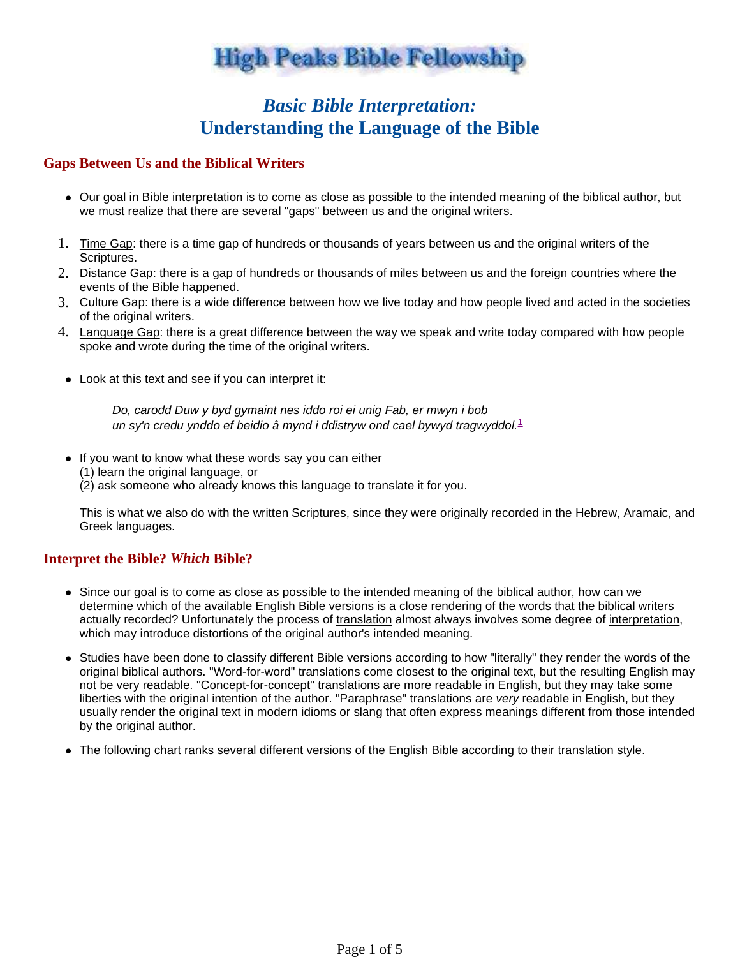# **High Peaks Bible Fellowship**

### *Basic Bible Interpretation:* **Understanding the Language of the Bible**

#### **Gaps Between Us and the Biblical Writers**

- Our goal in Bible interpretation is to come as close as possible to the intended meaning of the biblical author, but we must realize that there are several "gaps" between us and the original writers.
- 1. Time Gap: there is a time gap of hundreds or thousands of years between us and the original writers of the Scriptures.
- 2. Distance Gap: there is a gap of hundreds or thousands of miles between us and the foreign countries where the events of the Bible happened.
- 3. Culture Gap: there is a wide difference between how we live today and how people lived and acted in the societies of the original writers.
- 4. Language Gap: there is a great difference between the way we speak and write today compared with how people spoke and wrote during the time of the original writers.
	- Look at this text and see if you can interpret it:

Do, carodd Duw y byd gymaint nes iddo roi ei unig Fab, er mwyn i bob un sy'n credu ynddo ef beidio â mynd i ddistryw ond cael bywyd tragwyddol. $1$ 

• If you want to know what these words say you can either (1) learn the original language, or (2) ask someone who already knows this language to translate it for you.

This is what we also do with the written Scriptures, since they were originally recorded in the Hebrew, Aramaic, and Greek languages.

#### **Interpret the Bible?** *Which* **Bible?**

- Since our goal is to come as close as possible to the intended meaning of the biblical author, how can we determine which of the available English Bible versions is a close rendering of the words that the biblical writers actually recorded? Unfortunately the process of translation almost always involves some degree of interpretation, which may introduce distortions of the original author's intended meaning.
- Studies have been done to classify different Bible versions according to how "literally" they render the words of the original biblical authors. "Word-for-word" translations come closest to the original text, but the resulting English may not be very readable. "Concept-for-concept" translations are more readable in English, but they may take some liberties with the original intention of the author. "Paraphrase" translations are very readable in English, but they usually render the original text in modern idioms or slang that often express meanings different from those intended by the original author.
- The following chart ranks several different versions of the English Bible according to their translation style.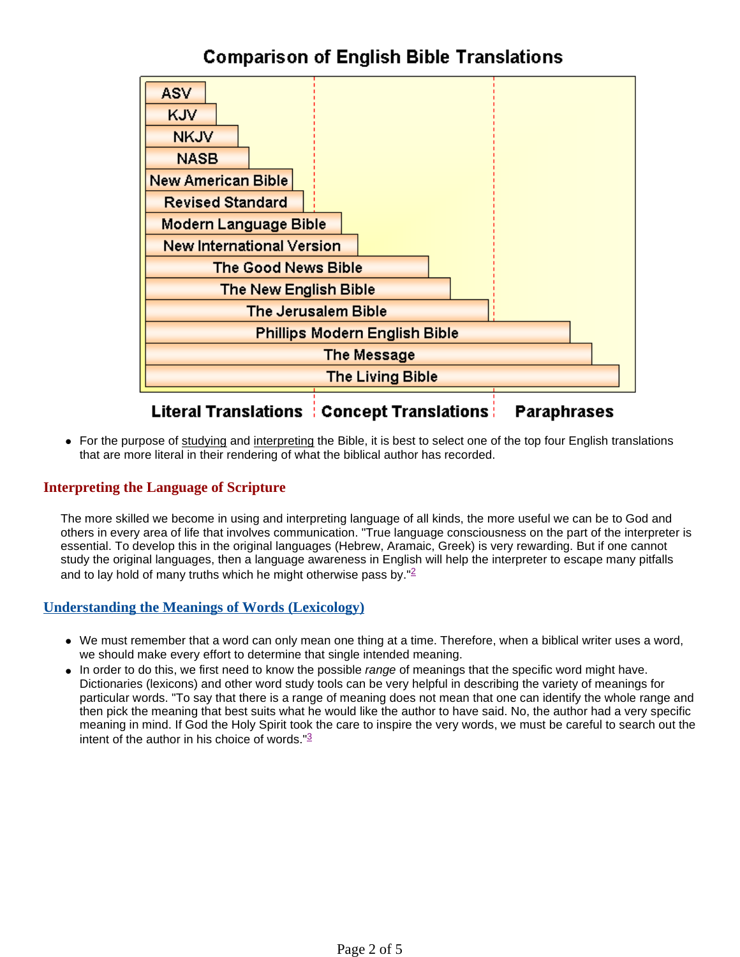## **Comparison of English Bible Translations**



#### **Literal Translations | Concept Translations | Paraphrases**

 For the purpose of studying and interpreting the Bible, it is best to select one of the top four English translations that are more literal in their rendering of what the biblical author has recorded.

#### **Interpreting the Language of Scripture**

The more skilled we become in using and interpreting language of all kinds, the more useful we can be to God and others in every area of life that involves communication. "True language consciousness on the part of the interpreter is essential. To develop this in the original languages (Hebrew, Aramaic, Greek) is very rewarding. But if one cannot study the original languages, then a language awareness in English will help the interpreter to escape many pitfalls and to lay hold of many truths which he might otherwise pass by." $2$ 

#### **Understanding the Meanings of Words (Lexicology)**

- We must remember that a word can only mean one thing at a time. Therefore, when a biblical writer uses a word, we should make every effort to determine that single intended meaning.
- In order to do this, we first need to know the possible *range* of meanings that the specific word might have. Dictionaries (lexicons) and other word study tools can be very helpful in describing the variety of meanings for particular words. "To say that there is a range of meaning does not mean that one can identify the whole range and then pick the meaning that best suits what he would like the author to have said. No, the author had a very specific meaning in mind. If God the Holy Spirit took the care to inspire the very words, we must be careful to search out the intent of the author in his choice of words. $\frac{3}{2}$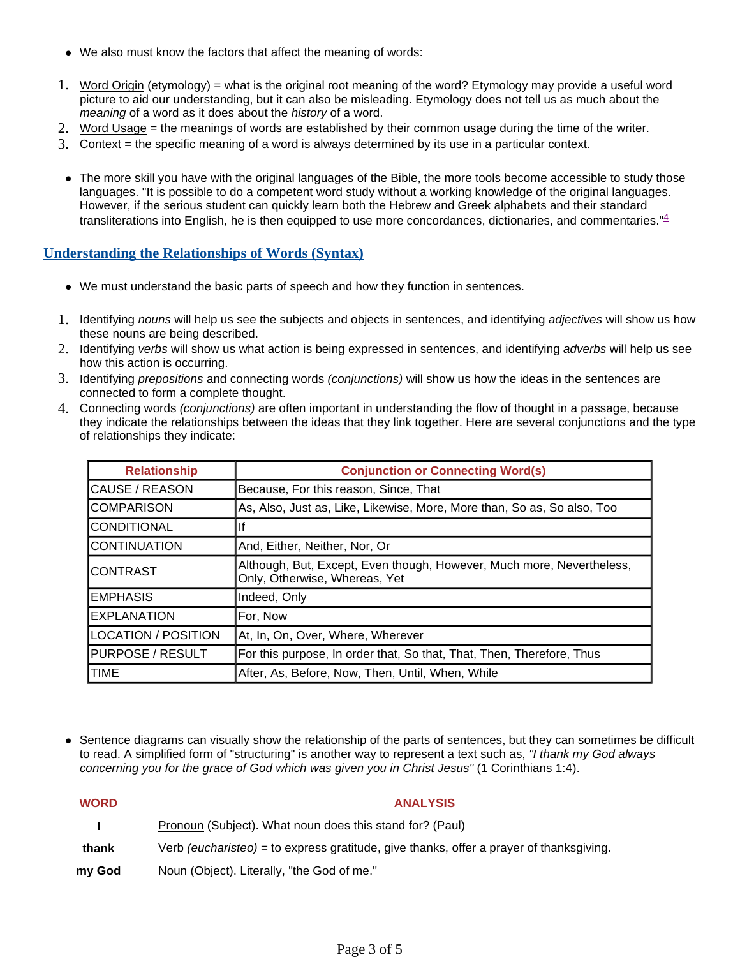- We also must know the factors that affect the meaning of words:
- 1. Word Origin (etymology) = what is the original root meaning of the word? Etymology may provide a useful word picture to aid our understanding, but it can also be misleading. Etymology does not tell us as much about the meaning of a word as it does about the history of a word.
- 2. Word Usage = the meanings of words are established by their common usage during the time of the writer.
- 3. Context = the specific meaning of a word is always determined by its use in a particular context.
- The more skill you have with the original languages of the Bible, the more tools become accessible to study those languages. "It is possible to do a competent word study without a working knowledge of the original languages. However, if the serious student can quickly learn both the Hebrew and Greek alphabets and their standard transliterations into English, he is then equipped to use more concordances, dictionaries, and commentaries." $4$

#### **Understanding the Relationships of Words (Syntax)**

- We must understand the basic parts of speech and how they function in sentences.
- 1. Identifying nouns will help us see the subjects and objects in sentences, and identifying adjectives will show us how these nouns are being described.
- 2. Identifying verbs will show us what action is being expressed in sentences, and identifying adverbs will help us see how this action is occurring.
- 3. Identifying prepositions and connecting words (conjunctions) will show us how the ideas in the sentences are connected to form a complete thought.
- 4. Connecting words (conjunctions) are often important in understanding the flow of thought in a passage, because they indicate the relationships between the ideas that they link together. Here are several conjunctions and the type of relationships they indicate:

| <b>Relationship</b>     | <b>Conjunction or Connecting Word(s)</b>                                                               |
|-------------------------|--------------------------------------------------------------------------------------------------------|
| CAUSE / REASON          | Because, For this reason, Since, That                                                                  |
| <b>COMPARISON</b>       | As, Also, Just as, Like, Likewise, More, More than, So as, So also, Too                                |
| <b>CONDITIONAL</b>      | lf                                                                                                     |
| <b>CONTINUATION</b>     | And, Either, Neither, Nor, Or                                                                          |
| <b>CONTRAST</b>         | Although, But, Except, Even though, However, Much more, Nevertheless,<br>Only, Otherwise, Whereas, Yet |
| <b>EMPHASIS</b>         | Indeed, Only                                                                                           |
| <b>EXPLANATION</b>      | For, Now                                                                                               |
| LOCATION / POSITION     | At, In, On, Over, Where, Wherever                                                                      |
| <b>PURPOSE / RESULT</b> | For this purpose, In order that, So that, That, Then, Therefore, Thus                                  |
| <b>TIME</b>             | After, As, Before, Now, Then, Until, When, While                                                       |

 Sentence diagrams can visually show the relationship of the parts of sentences, but they can sometimes be difficult to read. A simplified form of "structuring" is another way to represent a text such as, "I thank my God always concerning you for the grace of God which was given you in Christ Jesus" (1 Corinthians 1:4).

| <b>WORD</b> | <b>ANALYSIS</b>                                                                                |
|-------------|------------------------------------------------------------------------------------------------|
|             | Pronoun (Subject). What noun does this stand for? (Paul)                                       |
| thank       | Verb <i>(eucharisteo)</i> = to express gratitude, give thanks, offer a prayer of thanksgiving. |
| my God      | Noun (Object). Literally, "the God of me."                                                     |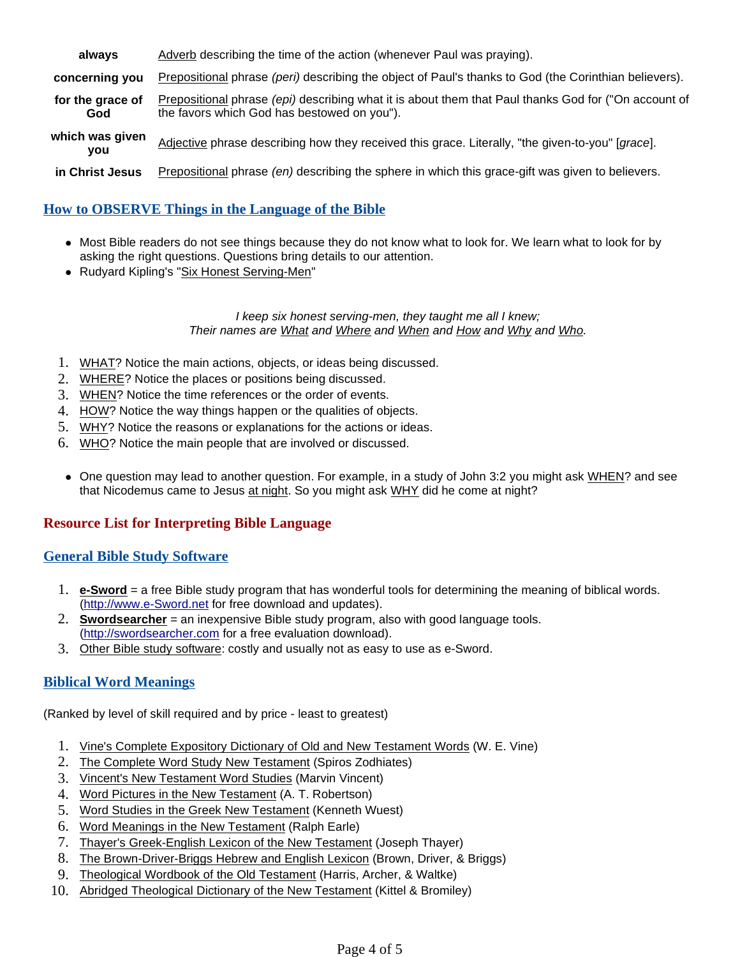| always                  | Adverb describing the time of the action (whenever Paul was praying).                                                                               |
|-------------------------|-----------------------------------------------------------------------------------------------------------------------------------------------------|
| concerning you          | Prepositional phrase (peri) describing the object of Paul's thanks to God (the Corinthian believers).                                               |
| for the grace of<br>God | Prepositional phrase (epi) describing what it is about them that Paul thanks God for ("On account of<br>the favors which God has bestowed on you"). |
| which was given<br>vou  | Adjective phrase describing how they received this grace. Literally, "the given-to-you" [grace].                                                    |
| in Christ Jesus         | Prepositional phrase (en) describing the sphere in which this grace-gift was given to believers.                                                    |

### **How to OBSERVE Things in the Language of the Bible**

- Most Bible readers do not see things because they do not know what to look for. We learn what to look for by asking the right questions. Questions bring details to our attention.
- Rudyard Kipling's "Six Honest Serving-Men"

#### I keep six honest serving-men, they taught me all I knew; Their names are What and Where and When and How and Why and Who.

- 1. WHAT? Notice the main actions, objects, or ideas being discussed.
- 2. WHERE? Notice the places or positions being discussed.
- 3. WHEN? Notice the time references or the order of events.
- 4. HOW? Notice the way things happen or the qualities of objects.
- 5. WHY? Notice the reasons or explanations for the actions or ideas.
- 6. WHO? Notice the main people that are involved or discussed.
- One question may lead to another question. For example, in a study of John 3:2 you might ask WHEN? and see that Nicodemus came to Jesus at night. So you might ask WHY did he come at night?

#### **Resource List for Interpreting Bible Language**

#### **General Bible Study Software**

- 1. **e-Sword** = a free Bible study program that has wonderful tools for determining the meaning of biblical words. (http://www.e-Sword.net for free download and updates).
- 2. **Swordsearcher** = an inexpensive Bible study program, also with good language tools. (http://swordsearcher.com for a free evaluation download).
- 3. Other Bible study software: costly and usually not as easy to use as e-Sword.

#### **Biblical Word Meanings**

(Ranked by level of skill required and by price - least to greatest)

- 1. Vine's Complete Expository Dictionary of Old and New Testament Words (W. E. Vine)
- 2. The Complete Word Study New Testament (Spiros Zodhiates)
- 3. Vincent's New Testament Word Studies (Marvin Vincent)
- 4. Word Pictures in the New Testament (A. T. Robertson)
- 5. Word Studies in the Greek New Testament (Kenneth Wuest)
- 6. Word Meanings in the New Testament (Ralph Earle)
- 7. Thayer's Greek-English Lexicon of the New Testament (Joseph Thayer)
- 8. The Brown-Driver-Briggs Hebrew and English Lexicon (Brown, Driver, & Briggs)
- 9. Theological Wordbook of the Old Testament (Harris, Archer, & Waltke)
- 10. Abridged Theological Dictionary of the New Testament (Kittel & Bromiley)